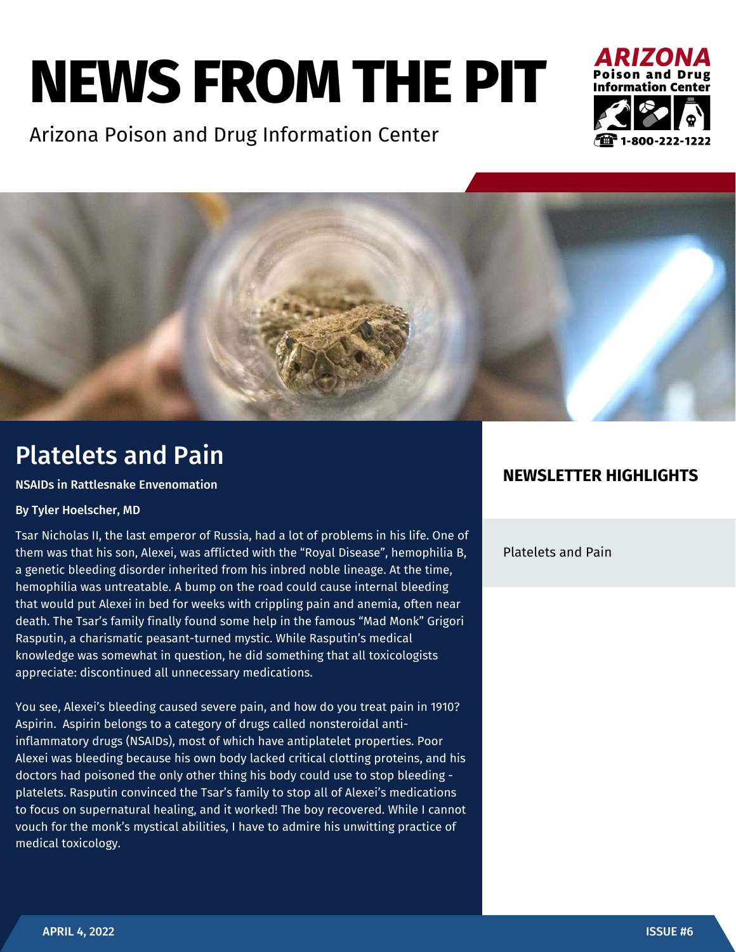# **NEWS FROM THE PIT**

Arizona Poison and Drug Information Center





## Platelets and Pain

#### NSAIDs in Rattlesnake Envenomation

#### By Tyler Hoelscher, MD

Tsar Nicholas II, the last emperor of Russia, had a lot of problems in his life. One of them was that his son, Alexei, was afflicted with the "Royal Disease", hemophilia B, a genetic bleeding disorder inherited from his inbred noble lineage. At the time, hemophilia was untreatable. A bump on the road could cause internal bleeding that would put Alexei in bed for weeks with crippling pain and anemia, often near death. The Tsar's family finally found some help in the famous "Mad Monk" Grigori Rasputin, a charismatic peasant-turned mystic. While Rasputin's medical knowledge was somewhat in question, he did something that all toxicologists appreciate: discontinued all unnecessary medications.

You see, Alexei's bleeding caused severe pain, and how do you treat pain in 1910? Aspirin. Aspirin belongs to a category of drugs called nonsteroidal antiinflammatory drugs (NSAIDs), most of which have antiplatelet properties. Poor Alexei was bleeding because his own body lacked critical clotting proteins, and his doctors had poisoned the only other thing his body could use to stop bleeding platelets. Rasputin convinced the Tsar's family to stop all of Alexei's medications to focus on supernatural healing, and it worked! The boy recovered. While I cannot vouch for the monk's mystical abilities, I have to admire his unwitting practice of medical toxicology.

#### **NEWSLETTER HIGHLIGHTS**

Platelets and Pain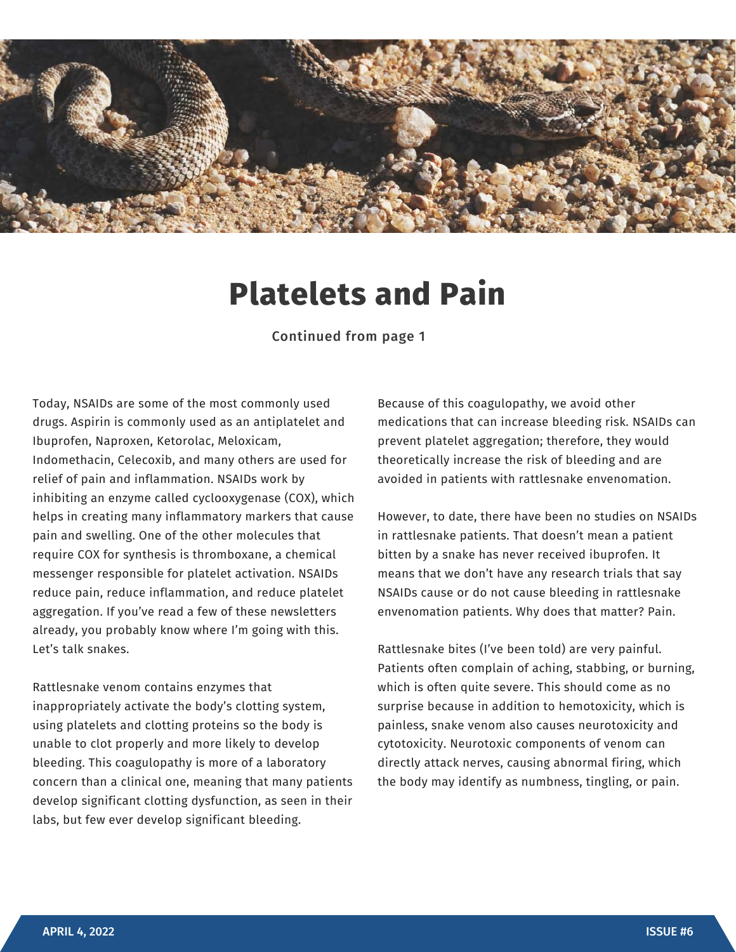

# **Platelets and Pain**

Continued from page 1

Today, NSAIDs are some of the most commonly used drugs. Aspirin is commonly used as an antiplatelet and Ibuprofen, Naproxen, Ketorolac, Meloxicam, Indomethacin, Celecoxib, and many others are used for relief of pain and inflammation. NSAIDs work by inhibiting an enzyme called cyclooxygenase (COX), which helps in creating many inflammatory markers that cause pain and swelling. One of the other molecules that require COX for synthesis is thromboxane, a chemical messenger responsible for platelet activation. NSAIDs reduce pain, reduce inflammation, and reduce platelet aggregation. If you've read a few of these newsletters already, you probably know where I'm going with this. Let's talk snakes.

Rattlesnake venom contains enzymes that inappropriately activate the body's clotting system, using platelets and clotting proteins so the body is unable to clot properly and more likely to develop bleeding. This coagulopathy is more of a laboratory concern than a clinical one, meaning that many patients develop significant clotting dysfunction, as seen in their labs, but few ever develop significant bleeding.

Because of this coagulopathy, we avoid other medications that can increase bleeding risk. NSAIDs can prevent platelet aggregation; therefore, they would theoretically increase the risk of bleeding and are avoided in patients with rattlesnake envenomation.

However, to date, there have been no studies on NSAIDs in rattlesnake patients. That doesn't mean a patient bitten by a snake has never received ibuprofen. It means that we don't have any research trials that say NSAIDs cause or do not cause bleeding in rattlesnake envenomation patients. Why does that matter? Pain.

Rattlesnake bites (I've been told) are very painful. Patients often complain of aching, stabbing, or burning, which is often quite severe. This should come as no surprise because in addition to hemotoxicity, which is painless, snake venom also causes neurotoxicity and cytotoxicity. Neurotoxic components of venom can directly attack nerves, causing abnormal firing, which the body may identify as numbness, tingling, or pain.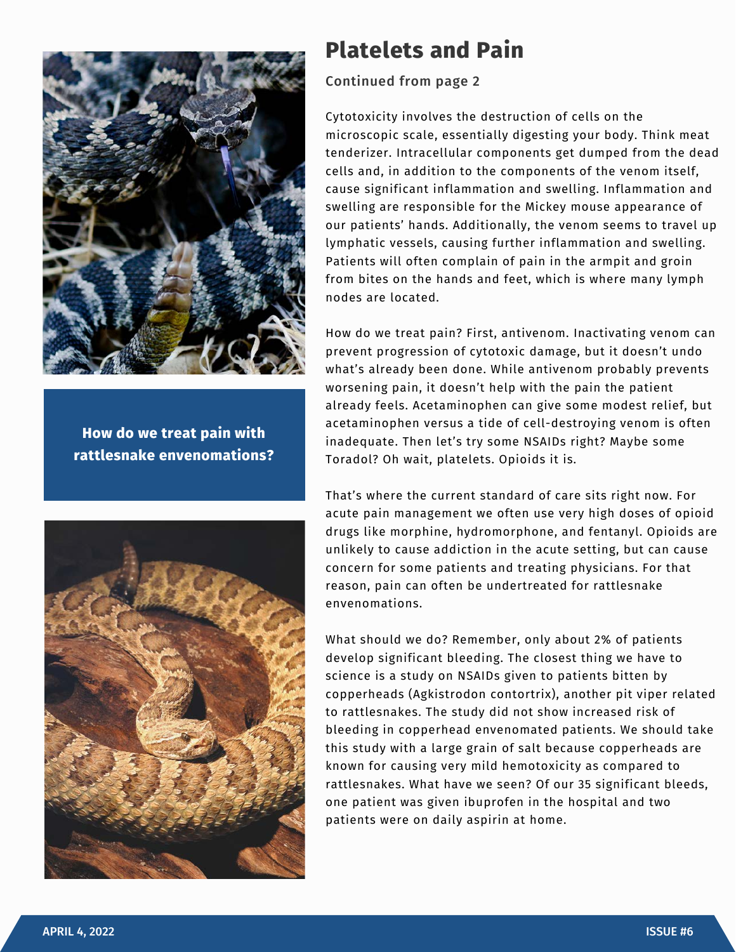

**How do we treat pain with rattlesnake envenomations?**



### **Platelets and Pain**

#### Continued from page 2

Cytotoxicity involves the destruction of cells on the microscopic scale, essentially digesting your body. Think meat tenderizer. Intracellular components get dumped from the dead cells and, in addition to the components of the venom itself, cause significant inflammation and swelling. Inflammation and swelling are responsible for the Mickey mouse appearance of our patients' hands. Additionally, the venom seems to travel up lymphatic vessels, causing further inflammation and swelling. Patients will often complain of pain in the armpit and groin from bites on the hands and feet, which is where many lymph nodes are located.

How do we treat pain? First, antivenom. Inactivating venom can prevent progression of cytotoxic damage, but it doesn't undo what's already been done. While antivenom probably prevents worsening pain, it doesn't help with the pain the patient already feels. Acetaminophen can give some modest relief, but acetaminophen versus a tide of cell-destroying venom is often inadequate. Then let's try some NSAIDs right? Maybe some Toradol? Oh wait, platelets. Opioids it is.

That's where the current standard of care sits right now. For acute pain management we often use very high doses of opioid drugs like morphine, hydromorphone, and fentanyl. Opioids are unlikely to cause addiction in the acute setting, but can cause concern for some patients and treating physicians. For that reason, pain can often be undertreated for rattlesnake envenomations.

What should we do? Remember, only about 2% of patients develop significant bleeding. The closest thing we have to science is a study on NSAIDs given to patients bitten by copperheads (Agkistrodon contortrix), another pit viper related to rattlesnakes. The study did not show increased risk of bleeding in copperhead envenomated patients. We should take this study with a large grain of salt because copperheads are known for causing very mild hemotoxicity as compared to rattlesnakes. What have we seen? Of our 35 significant bleeds, one patient was given ibuprofen in the hospital and two patients were on daily aspirin at home.